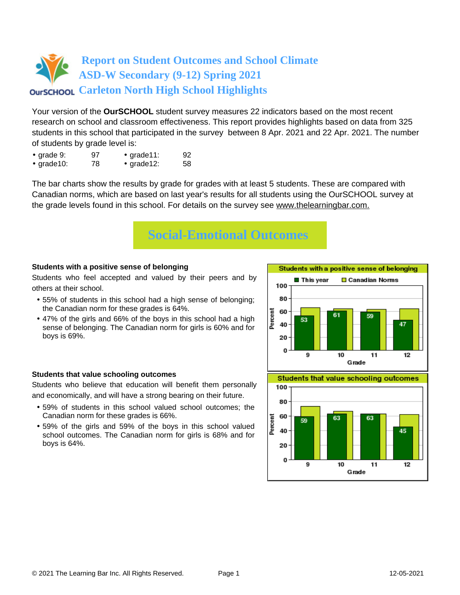Your version of the **OurSCHOOL** student survey measures 22 indicators based on the most recent research on school and classroom effectiveness. This report provides highlights based on data from 325 students in this school that participated in the survey between 8 Apr. 2021 and 22 Apr. 2021. The number of students by grade level is:

- grade 9: 97 grade 11: 92
- grade10: 78 grade12: 58

The bar charts show the results by grade for grades with at least 5 students. These are compared with Canadian norms, which are based on last year's results for all students using the OurSCHOOL survey at the grade levels found in this school. For details on the survey see [www.thelearningbar.com.](www.thelearningbar.com)



### **Students with a positive sense of belonging**

Students who feel accepted and valued by their peers and by others at their school.

- 55% of students in this school had a high sense of belonging; the Canadian norm for these grades is 64%.
- 47% of the girls and 66% of the boys in this school had a high sense of belonging. The Canadian norm for girls is 60% and for boys is 69%.

### **Students that value schooling outcomes**

Students who believe that education will benefit them personally and economically, and will have a strong bearing on their future.

- 59% of students in this school valued school outcomes; the Canadian norm for these grades is 66%.
- 59% of the girls and 59% of the boys in this school valued school outcomes. The Canadian norm for girls is 68% and for boys is 64%.





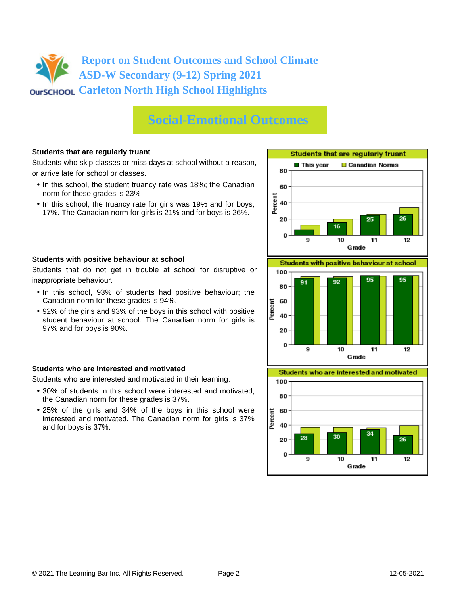# **Social-Emotional Outcomes**

#### **Students that are regularly truant**

Students who skip classes or miss days at school without a reason, or arrive late for school or classes.

- In this school, the student truancy rate was 18%; the Canadian norm for these grades is 23%
- In this school, the truancy rate for girls was 19% and for boys, 17%. The Canadian norm for girls is 21% and for boys is 26%.



Students that do not get in trouble at school for disruptive or inappropriate behaviour.

- In this school, 93% of students had positive behaviour; the Canadian norm for these grades is 94%.
- 92% of the girls and 93% of the boys in this school with positive student behaviour at school. The Canadian norm for girls is 97% and for boys is 90%.

#### **Students who are interested and motivated**

Students who are interested and motivated in their learning.

- 30% of students in this school were interested and motivated; the Canadian norm for these grades is 37%.
- 25% of the girls and 34% of the boys in this school were interested and motivated. The Canadian norm for girls is 37% and for boys is 37%.





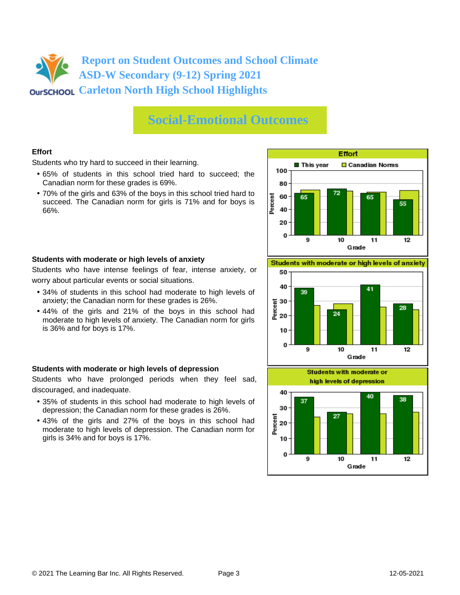### **Social-Emotional Outcomes**

### **Effort**

Students who try hard to succeed in their learning.

- 65% of students in this school tried hard to succeed; the Canadian norm for these grades is 69%.
- 70% of the girls and 63% of the boys in this school tried hard to succeed. The Canadian norm for girls is 71% and for boys is 66%.



#### **Students with moderate or high levels of anxiety**

Students who have intense feelings of fear, intense anxiety, or worry about particular events or social situations.

- 34% of students in this school had moderate to high levels of anxiety; the Canadian norm for these grades is 26%.
- 44% of the girls and 21% of the boys in this school had moderate to high levels of anxiety. The Canadian norm for girls is 36% and for boys is 17%.

### **Students with moderate or high levels of depression**

Students who have prolonged periods when they feel sad, discouraged, and inadequate.

- 35% of students in this school had moderate to high levels of depression; the Canadian norm for these grades is 26%.
- 43% of the girls and 27% of the boys in this school had moderate to high levels of depression. The Canadian norm for girls is 34% and for boys is 17%.

Students with moderate or high levels of anxiety



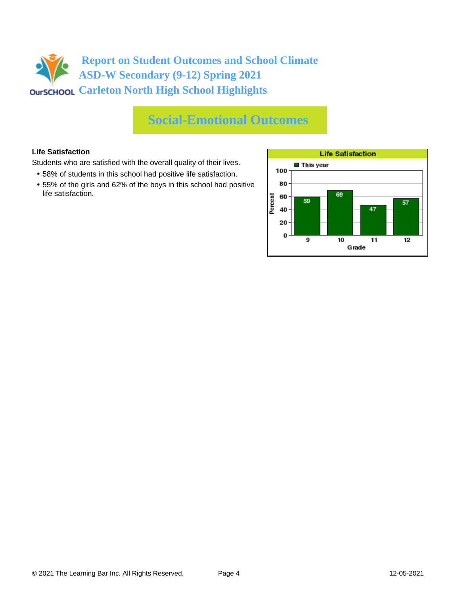# **Report on Student Outcomes and School Climate ASD-W Secondary (9-12) Spring 2021 CARLET CONSTRAINTS CONTRETT** CONSTRAINING CONSTRAINING CONSTRAINING CONSTRAINING CONSTRAINING CONSTRAINING CONSTRAINING CONSTRAINING CONSTRAINING CONSTRAINING CONSTRAINING CONSTRAINING CONSTRAINING CONSTRAINING CONSTRAINI

### **Social-Emotional Outcomes**

### **Life Satisfaction**

Students who are satisfied with the overall quality of their lives.

- 58% of students in this school had positive life satisfaction.
- 55% of the girls and 62% of the boys in this school had positive life satisfaction.

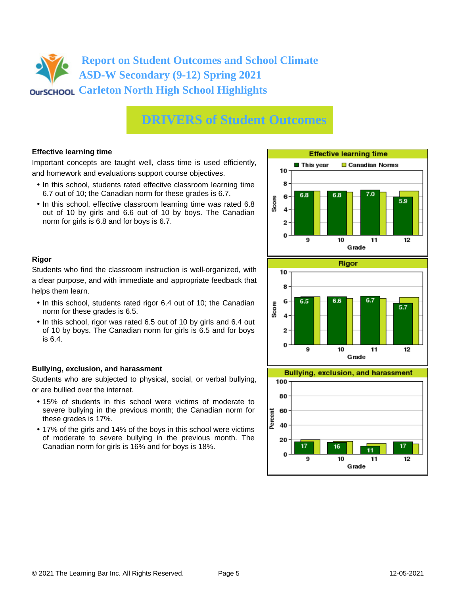# **DRIVERS of Student Outcomes**

### **Effective learning time**

Important concepts are taught well, class time is used efficiently, and homework and evaluations support course objectives.

- In this school, students rated effective classroom learning time 6.7 out of 10; the Canadian norm for these grades is 6.7.
- In this school, effective classroom learning time was rated 6.8 out of 10 by girls and 6.6 out of 10 by boys. The Canadian norm for girls is 6.8 and for boys is 6.7.



### **Rigor**

Students who find the classroom instruction is well-organized, with a clear purpose, and with immediate and appropriate feedback that helps them learn.

- In this school, students rated rigor 6.4 out of 10; the Canadian norm for these grades is 6.5.
- In this school, rigor was rated 6.5 out of 10 by girls and 6.4 out of 10 by boys. The Canadian norm for girls is 6.5 and for boys is 6.4.

### **Bullying, exclusion, and harassment**

Students who are subjected to physical, social, or verbal bullying, or are bullied over the internet.

- 15% of students in this school were victims of moderate to severe bullying in the previous month; the Canadian norm for these grades is 17%.
- 17% of the girls and 14% of the boys in this school were victims of moderate to severe bullying in the previous month. The Canadian norm for girls is 16% and for boys is 18%.



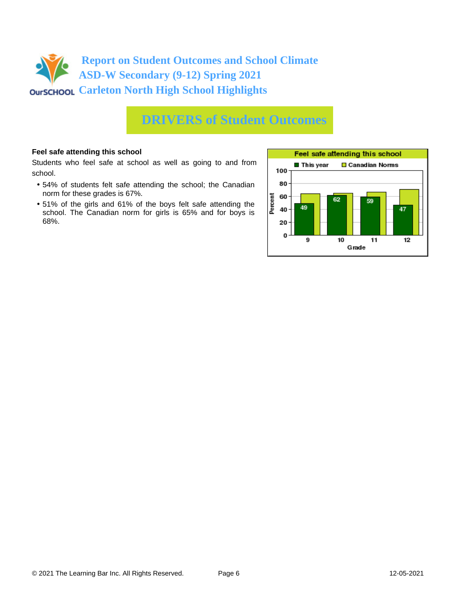

### **DRIVERS of Student Outcomes**

#### **Feel safe attending this school**

Students who feel safe at school as well as going to and from school.

- 54% of students felt safe attending the school; the Canadian norm for these grades is 67%.
- 51% of the girls and 61% of the boys felt safe attending the school. The Canadian norm for girls is 65% and for boys is 68%.

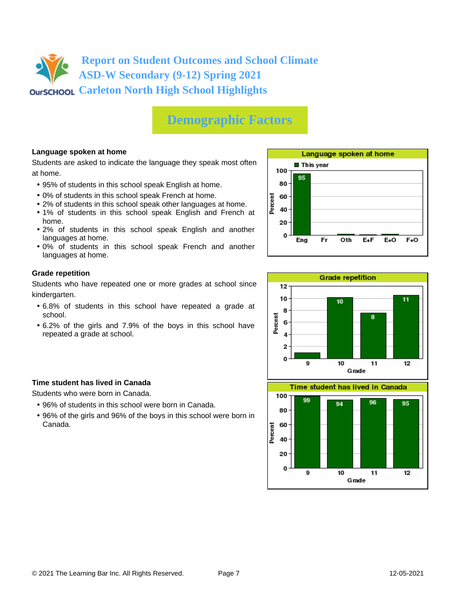# **Demographic Factors**

### **Language spoken at home**

Students are asked to indicate the language they speak most often at home.

- 95% of students in this school speak English at home.
- 0% of students in this school speak French at home.
- 2% of students in this school speak other languages at home.
- 1% of students in this school speak English and French at home.
- 2% of students in this school speak English and another languages at home.
- 0% of students in this school speak French and another languages at home.

#### **Grade repetition**

Students who have repeated one or more grades at school since kindergarten.

- 6.8% of students in this school have repeated a grade at school.
- 6.2% of the girls and 7.9% of the boys in this school have repeated a grade at school.

### **Time student has lived in Canada**

Students who were born in Canada.

- 96% of students in this school were born in Canada.
- 96% of the girls and 96% of the boys in this school were born in Canada.



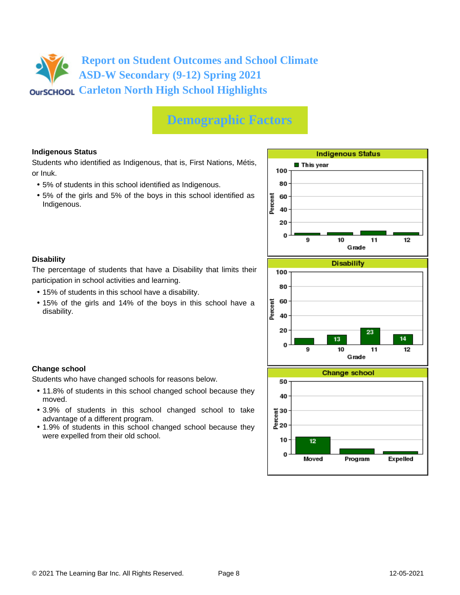# **Demographic Factors**

### **Indigenous Status**

Students who identified as Indigenous, that is, First Nations, Métis, or Inuk.

- 5% of students in this school identified as Indigenous.
- 5% of the girls and 5% of the boys in this school identified as Indigenous.



### **Disability**

**Change school**

moved.

The percentage of students that have a Disability that limits their participation in school activities and learning.

• 15% of students in this school have a disability.

Students who have changed schools for reasons below.

advantage of a different program.

were expelled from their old school.

• 15% of the girls and 14% of the boys in this school have a disability.

• 11.8% of students in this school changed school because they

• 3.9% of students in this school changed school to take

• 1.9% of students in this school changed school because they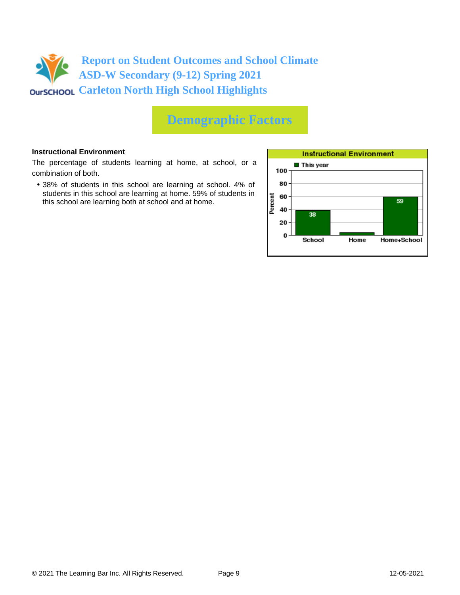

# **Demographic Factors**

#### **Instructional Environment**

The percentage of students learning at home, at school, or a combination of both.

• 38% of students in this school are learning at school. 4% of students in this school are learning at home. 59% of students in this school are learning both at school and at home.

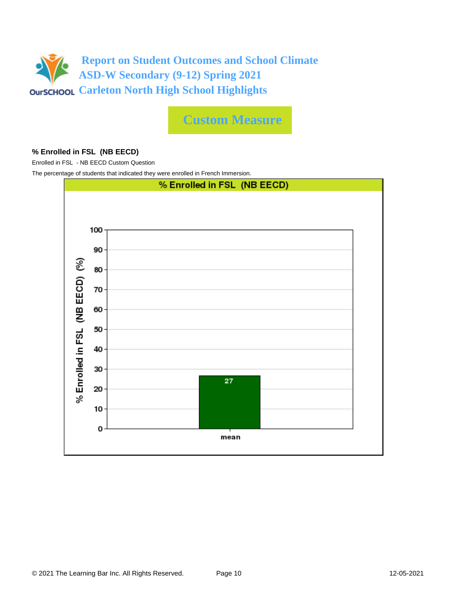

**Custom Measure**

#### **% Enrolled in FSL (NB EECD)**

Enrolled in FSL - NB EECD Custom Question

The percentage of students that indicated they were enrolled in French Immersion.

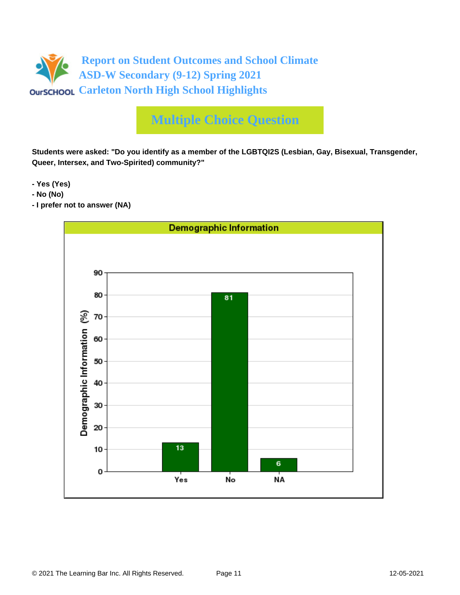

**Students were asked: "Do you identify as a member of the LGBTQI2S (Lesbian, Gay, Bisexual, Transgender, Queer, Intersex, and Two-Spirited) community?"**

**- Yes (Yes)**

- **No (No)**
- **I prefer not to answer (NA)**

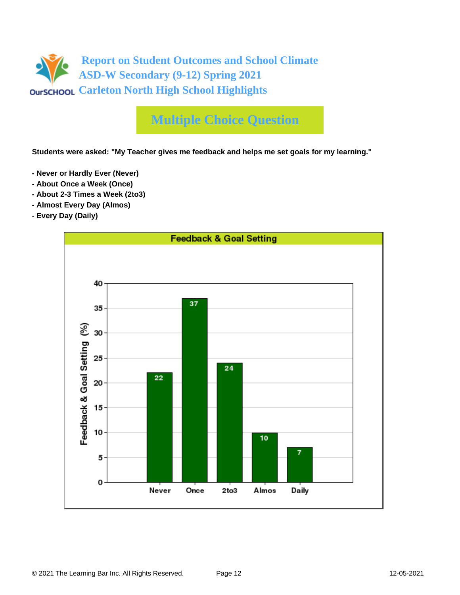

**Students were asked: "My Teacher gives me feedback and helps me set goals for my learning."**

- **Never or Hardly Ever (Never)**
- **About Once a Week (Once)**
- **About 2-3 Times a Week (2to3)**
- **Almost Every Day (Almos)**
- **Every Day (Daily)**

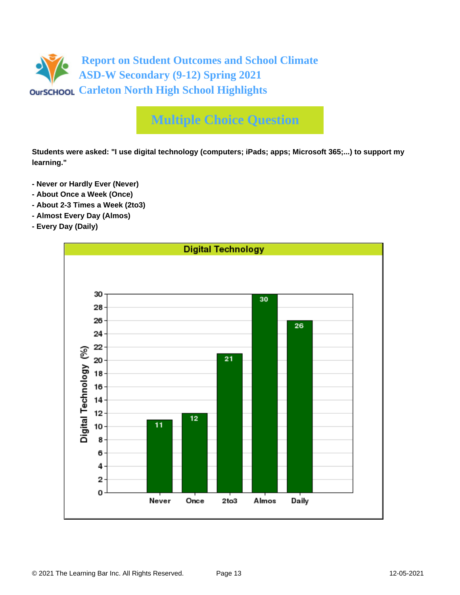

**Students were asked: "I use digital technology (computers; iPads; apps; Microsoft 365;...) to support my learning."**

- **Never or Hardly Ever (Never)**
- **About Once a Week (Once)**
- **About 2-3 Times a Week (2to3)**
- **Almost Every Day (Almos)**
- **Every Day (Daily)**

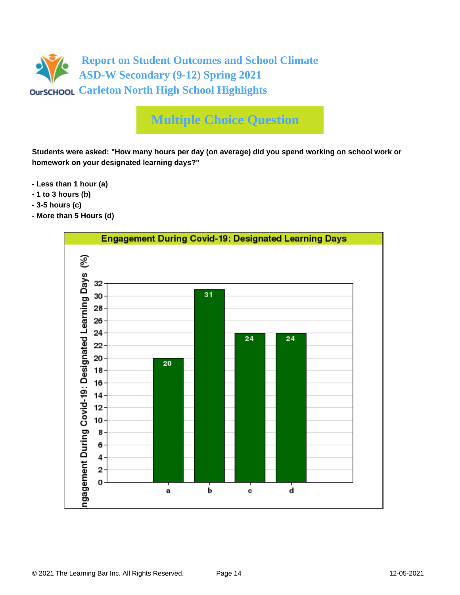

**Students were asked: "How many hours per day (on average) did you spend working on school work or homework on your designated learning days?"**

- **Less than 1 hour (a)**
- **1 to 3 hours (b)**
- **3-5 hours (c)**
- **More than 5 Hours (d)**